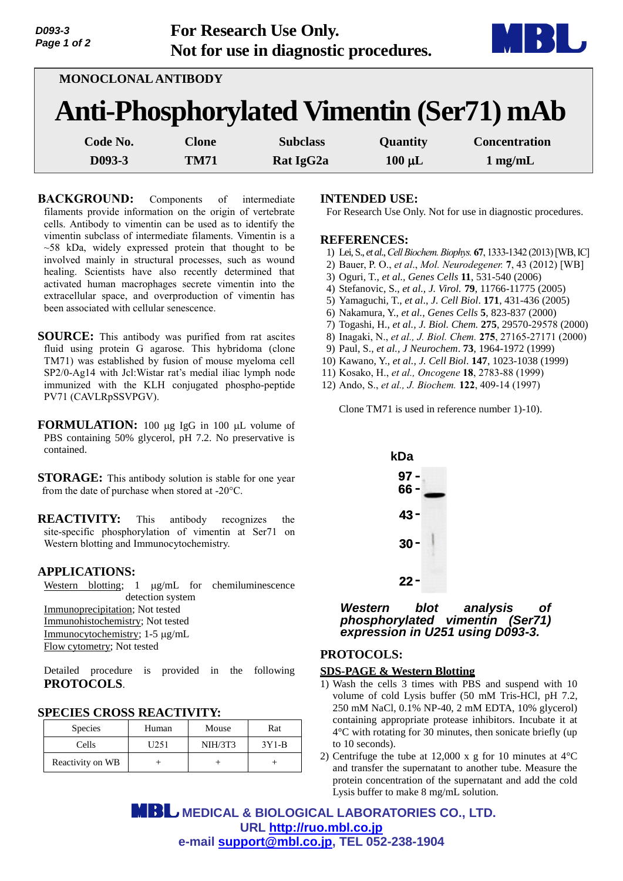| D093-3<br>Page 1 of 2 | <b>For Research Use Only.</b>         | MBL |
|-----------------------|---------------------------------------|-----|
|                       | Not for use in diagnostic procedures. |     |

| MONOCLONAL ANTIBODY                             |              |                       |             |                      |  |  |  |
|-------------------------------------------------|--------------|-----------------------|-------------|----------------------|--|--|--|
| <b>Anti-Phosphorylated Vimentin (Ser71) mAb</b> |              |                       |             |                      |  |  |  |
| Code No.                                        | <b>Clone</b> | <b>Subclass</b>       | Quantity    | <b>Concentration</b> |  |  |  |
| D093-3                                          | <b>TM71</b>  | Rat IgG <sub>2a</sub> | $100 \mu L$ | $1 \text{ mg/mL}$    |  |  |  |

**BACKGROUND:** Components of intermediate filaments provide information on the origin of vertebrate cells. Antibody to vimentin can be used as to identify the vimentin subclass of intermediate filaments. Vimentin is a  $~58$  kDa, widely expressed protein that thought to be involved mainly in structural processes, such as wound healing. Scientists have also recently determined that activated human macrophages secrete vimentin into the extracellular space, and overproduction of vimentin has been associated with cellular senescence.

- **SOURCE:** This antibody was purified from rat ascites fluid using protein G agarose. This hybridoma (clone TM71) was established by fusion of mouse myeloma cell SP2/0-Ag14 with Jcl:Wistar rat's medial iliac lymph node immunized with the KLH conjugated phospho-peptide PV71 (CAVLRpSSVPGV).
- **FORMULATION:** 100 µg IgG in 100 µL volume of PBS containing 50% glycerol, pH 7.2. No preservative is contained.

**STORAGE:** This antibody solution is stable for one year from the date of purchase when stored at -20°C.

**REACTIVITY:** This antibody recognizes the site-specific phosphorylation of vimentin at Ser71 on Western blotting and Immunocytochemistry.

### **APPLICATIONS:**

Western blotting;  $1 \mu g/mL$  for chemiluminescence detection system Immunoprecipitation; Not tested Immunohistochemistry; Not tested Immunocytochemistry; 1-5 µg/mL Flow cytometry; Not tested

Detailed procedure is provided in the following **PROTOCOLS**.

## **SPECIES CROSS REACTIVITY:**

| <b>Species</b>   | Human | Mouse   | Rat     |
|------------------|-------|---------|---------|
| Cells            | U251  | NIH/3T3 | $3Y1-B$ |
| Reactivity on WB |       |         |         |

#### **INTENDED USE:**

For Research Use Only. Not for use in diagnostic procedures.

#### **REFERENCES:**

- 1) Lei, S., *et al*., *Cell Biochem.Biophys.* **67**, 1333-1342 (2013)[WB, IC]
- 2) Bauer, P. O., *et al*., *Mol. Neurodegener.* **7**, 43 (2012) [WB]
- 3) Oguri, T., *et al., Genes Cells* **11**, 531-540 (2006)
- 4) Stefanovic, S., *et al., J. Virol.* **79**, 11766-11775 (2005)
- 5) Yamaguchi, T., *et al*., *J*. *Cell Biol*. **171**, 431-436 (2005)
- 6) Nakamura, Y., *et al., Genes Cells* **5**, 823-837 (2000)
- 7) Togashi, H., *et al., J. Biol. Chem.* **275**, 29570-29578 (2000)
- 8) Inagaki, N., *et al., J. Biol. Chem.* **275**, 27165-27171 (2000)
- 9) Paul, S., *et al., J Neurochem*. **73**, 1964-1972 (1999)
- 10) Kawano, Y., *et al., J. Cell Biol*. **147**, 1023-1038 (1999)
- 11) Kosako, H., *et al., Oncogene* **18**, 2783-88 (1999)
- 12) Ando, S., *et al., J. Biochem.* **122**, 409-14 (1997)

Clone TM71 is used in reference number 1)-10).



*Western blot analysis of phosphorylated vimentin (Ser71) expression in U251 using D093-3.* 

### **PROTOCOLS:**

#### **SDS-PAGE & Western Blotting**

- 1) Wash the cells 3 times with PBS and suspend with 10 volume of cold Lysis buffer (50 mM Tris-HCl, pH 7.2, 250 mM NaCl, 0.1% NP-40, 2 mM EDTA, 10% glycerol) containing appropriate protease inhibitors. Incubate it at 4°C with rotating for 30 minutes, then sonicate briefly (up to 10 seconds).
- 2) Centrifuge the tube at 12,000 x g for 10 minutes at 4°C and transfer the supernatant to another tube. Measure the protein concentration of the supernatant and add the cold Lysis buffer to make 8 mg/mL solution.

 **MEDICAL & BIOLOGICAL LABORATORIES CO., LTD. URL [http://ruo.mbl.co.jp](http://ruo.mbl.co.jp/) e-mail [support@mbl.co.jp,](mailto:support@mbl.co.jp) TEL 052-238-1904**